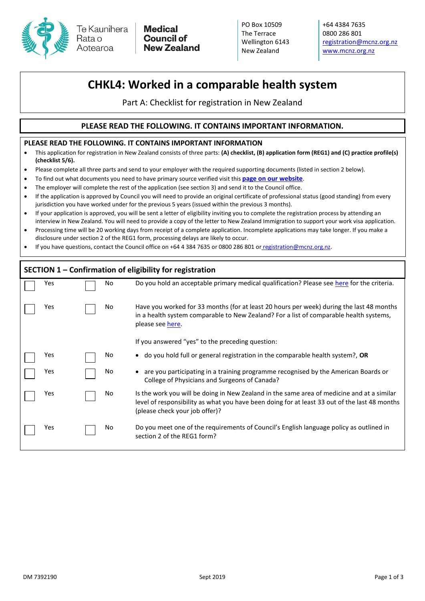

**Medical Council of New Zealand** 

PO Box 10509 The Terrace Wellington 6143 New Zealand

+64 4384 7635 0800 286 801 [registration@mcnz.org.nz](mailto:registration@mcnz.org.nz) [www.mcnz.org.nz](http://www.mcnz.org.nz/)

## **CHKL4: Worked in a comparable health system**

Part A: Checklist for registration in New Zealand

## **PLEASE READ THE FOLLOWING. IT CONTAINS IMPORTANT INFORMATION.**

## **PLEASE READ THE FOLLOWING. IT CONTAINS IMPORTANT INFORMATION**

- This application for registration in New Zealand consists of three parts: **(A) checklist, (B) application form (REG1) and (C) practice profile(s) (checklist 5/6).**
- Please complete all three parts and send to your employer with the required supporting documents (listed in section 2 below).
- To find out what documents you need to have primary source verified visit this **[page on our website](https://www.mcnz.org.nz/EPIC)**.
- The employer will complete the rest of the application (see section 3) and send it to the Council office.
- If the application is approved by Council you will need to provide an original certificate of professional status (good standing) from every jurisdiction you have worked under for the previous 5 years (issued within the previous 3 months).
- If your application is approved, you will be sent a letter of eligibility inviting you to complete the registration process by attending an interview in New Zealand. You will need to provide a copy of the letter to New Zealand Immigration to support your work visa application.
- Processing time will be 20 working days from receipt of a complete application. Incomplete applications may take longer. If you make a disclosure under section 2 of the REG1 form, processing delays are likely to occur.
- If you have questions, contact the Council office on +64 4 384 7635 or 0800 286 801 or [registration@mcnz.org.nz.](mailto:registration@mcnz.org.nz)

| SECTION 1 - Confirmation of eligibility for registration |     |  |     |                                                                                                                                                                                                                                                            |  |  |  |  |
|----------------------------------------------------------|-----|--|-----|------------------------------------------------------------------------------------------------------------------------------------------------------------------------------------------------------------------------------------------------------------|--|--|--|--|
|                                                          | Yes |  | No  | Do you hold an acceptable primary medical qualification? Please see here for the criteria.                                                                                                                                                                 |  |  |  |  |
|                                                          | Yes |  | No  | Have you worked for 33 months (for at least 20 hours per week) during the last 48 months<br>in a health system comparable to New Zealand? For a list of comparable health systems,<br>please see here.<br>If you answered "yes" to the preceding question: |  |  |  |  |
|                                                          |     |  |     |                                                                                                                                                                                                                                                            |  |  |  |  |
|                                                          | Yes |  | No. | • do you hold full or general registration in the comparable health system?, OR                                                                                                                                                                            |  |  |  |  |
|                                                          | Yes |  | No  | are you participating in a training programme recognised by the American Boards or<br>College of Physicians and Surgeons of Canada?                                                                                                                        |  |  |  |  |
|                                                          | Yes |  | No  | Is the work you will be doing in New Zealand in the same area of medicine and at a similar<br>level of responsibility as what you have been doing for at least 33 out of the last 48 months<br>(please check your job offer)?                              |  |  |  |  |
|                                                          | Yes |  | No  | Do you meet one of the requirements of Council's English language policy as outlined in<br>section 2 of the REG1 form?                                                                                                                                     |  |  |  |  |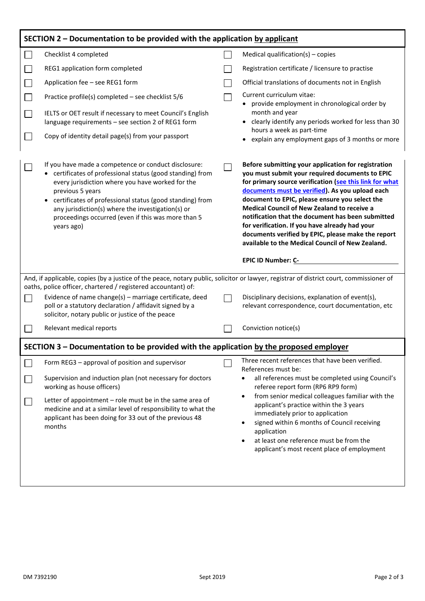| SECTION 2 – Documentation to be provided with the application by applicant                                                              |                                                                                                                                                                                                                                                                                                                                                                                   |  |                                                                                                                                                                                                                                                                                                                                                                                                                                                                                                                                                                     |  |  |  |  |  |  |
|-----------------------------------------------------------------------------------------------------------------------------------------|-----------------------------------------------------------------------------------------------------------------------------------------------------------------------------------------------------------------------------------------------------------------------------------------------------------------------------------------------------------------------------------|--|---------------------------------------------------------------------------------------------------------------------------------------------------------------------------------------------------------------------------------------------------------------------------------------------------------------------------------------------------------------------------------------------------------------------------------------------------------------------------------------------------------------------------------------------------------------------|--|--|--|--|--|--|
|                                                                                                                                         | Checklist 4 completed                                                                                                                                                                                                                                                                                                                                                             |  | Medical qualification(s) $-$ copies                                                                                                                                                                                                                                                                                                                                                                                                                                                                                                                                 |  |  |  |  |  |  |
|                                                                                                                                         | REG1 application form completed                                                                                                                                                                                                                                                                                                                                                   |  | Registration certificate / licensure to practise                                                                                                                                                                                                                                                                                                                                                                                                                                                                                                                    |  |  |  |  |  |  |
|                                                                                                                                         | Application fee - see REG1 form                                                                                                                                                                                                                                                                                                                                                   |  | Official translations of documents not in English                                                                                                                                                                                                                                                                                                                                                                                                                                                                                                                   |  |  |  |  |  |  |
|                                                                                                                                         | Practice profile(s) completed - see checklist 5/6                                                                                                                                                                                                                                                                                                                                 |  | Current curriculum vitae:                                                                                                                                                                                                                                                                                                                                                                                                                                                                                                                                           |  |  |  |  |  |  |
|                                                                                                                                         | IELTS or OET result if necessary to meet Council's English<br>language requirements - see section 2 of REG1 form                                                                                                                                                                                                                                                                  |  | • provide employment in chronological order by<br>month and year<br>• clearly identify any periods worked for less than 30<br>hours a week as part-time<br>explain any employment gaps of 3 months or more                                                                                                                                                                                                                                                                                                                                                          |  |  |  |  |  |  |
|                                                                                                                                         | Copy of identity detail page(s) from your passport                                                                                                                                                                                                                                                                                                                                |  |                                                                                                                                                                                                                                                                                                                                                                                                                                                                                                                                                                     |  |  |  |  |  |  |
|                                                                                                                                         | If you have made a competence or conduct disclosure:<br>• certificates of professional status (good standing) from<br>every jurisdiction where you have worked for the<br>previous 5 years<br>• certificates of professional status (good standing) from<br>any jurisdiction(s) where the investigation(s) or<br>proceedings occurred (even if this was more than 5<br>years ago) |  | Before submitting your application for registration<br>you must submit your required documents to EPIC<br>for primary source verification (see this link for what<br>documents must be verified). As you upload each<br>document to EPIC, please ensure you select the<br>Medical Council of New Zealand to receive a<br>notification that the document has been submitted<br>for verification. If you have already had your<br>documents verified by EPIC, please make the report<br>available to the Medical Council of New Zealand.<br><b>EPIC ID Number: C-</b> |  |  |  |  |  |  |
| And, if applicable, copies (by a justice of the peace, notary public, solicitor or lawyer, registrar of district court, commissioner of |                                                                                                                                                                                                                                                                                                                                                                                   |  |                                                                                                                                                                                                                                                                                                                                                                                                                                                                                                                                                                     |  |  |  |  |  |  |
|                                                                                                                                         | oaths, police officer, chartered / registered accountant) of:<br>Evidence of name change(s) - marriage certificate, deed<br>poll or a statutory declaration / affidavit signed by a<br>solicitor, notary public or justice of the peace                                                                                                                                           |  | Disciplinary decisions, explanation of event(s),<br>relevant correspondence, court documentation, etc                                                                                                                                                                                                                                                                                                                                                                                                                                                               |  |  |  |  |  |  |
|                                                                                                                                         | Relevant medical reports                                                                                                                                                                                                                                                                                                                                                          |  | Conviction notice(s)                                                                                                                                                                                                                                                                                                                                                                                                                                                                                                                                                |  |  |  |  |  |  |
| SECTION 3 – Documentation to be provided with the application by the proposed employer                                                  |                                                                                                                                                                                                                                                                                                                                                                                   |  |                                                                                                                                                                                                                                                                                                                                                                                                                                                                                                                                                                     |  |  |  |  |  |  |
|                                                                                                                                         | Form REG3 - approval of position and supervisor<br>Supervision and induction plan (not necessary for doctors<br>working as house officers)                                                                                                                                                                                                                                        |  | Three recent references that have been verified.<br>References must be:<br>all references must be completed using Council's<br>٠<br>referee report form (RP6 RP9 form)                                                                                                                                                                                                                                                                                                                                                                                              |  |  |  |  |  |  |
|                                                                                                                                         | Letter of appointment - role must be in the same area of<br>medicine and at a similar level of responsibility to what the<br>applicant has been doing for 33 out of the previous 48<br>months                                                                                                                                                                                     |  | from senior medical colleagues familiar with the<br>applicant's practice within the 3 years<br>immediately prior to application<br>signed within 6 months of Council receiving<br>application<br>at least one reference must be from the<br>applicant's most recent place of employment                                                                                                                                                                                                                                                                             |  |  |  |  |  |  |